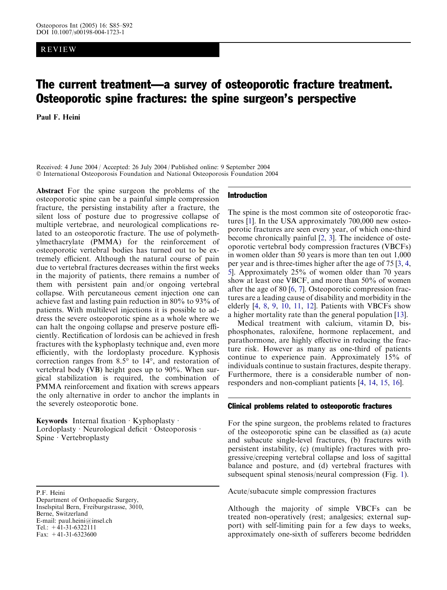# REVIEW

# The current treatment—a survey of osteoporotic fracture treatment. Osteoporotic spine fractures: the spine surgeon's perspective

Paul F. Heini

Received: 4 June 2004 / Accepted: 26 July 2004 / Published online: 9 September 2004 International Osteoporosis Foundation and National Osteoporosis Foundation 2004

Abstract For the spine surgeon the problems of the osteoporotic spine can be a painful simple compression fracture, the persisting instability after a fracture, the silent loss of posture due to progressive collapse of multiple vertebrae, and neurological complications related to an osteoporotic fracture. The use of polymethylmethacrylate (PMMA) for the reinforcement of osteoporotic vertebral bodies has turned out to be extremely efficient. Although the natural course of pain due to vertebral fractures decreases within the first weeks in the majority of patients, there remains a number of them with persistent pain and/or ongoing vertebral collapse. With percutaneous cement injection one can achieve fast and lasting pain reduction in 80% to 93% of patients. With multilevel injections it is possible to address the severe osteoporotic spine as a whole where we can halt the ongoing collapse and preserve posture efficiently. Rectification of lordosis can be achieved in fresh fractures with the kyphoplasty technique and, even more efficiently, with the lordoplasty procedure. Kyphosis correction ranges from  $8.5^{\circ}$  to  $14^{\circ}$ , and restoration of vertebral body (VB) height goes up to 90%. When surgical stabilization is required, the combination of PMMA reinforcement and fixation with screws appears the only alternative in order to anchor the implants in the severely osteoporotic bone.

Keywords Internal fixation  $\cdot$  Kyphoplasty  $\cdot$ Lordoplasty · Neurological deficit · Osteoporosis · Spine  $\cdot$  Vertebroplasty

P.F. Heini Department of Orthopaedic Surgery, Inselspital Bern, Freiburgstrasse, 3010, Berne, Switzerland E-mail: paul.heini@insel.ch Tel.:  $+41-31-6322111$ Fax:  $+41-31-6323600$ 

### Introduction

The spine is the most common site of osteoporotic fractures [\[1\]](#page-6-0). In the USA approximately 700,000 new osteoporotic fractures are seen every year, of which one-third become chronically painful [[2,](#page-6-0) [3\]](#page-6-0). The incidence of osteoporotic vertebral body compression fractures (VBCFs) in women older than 50 years is more than ten out 1,000 per year and is three-times higher after the age of 75 [\[3](#page-6-0), [4](#page-6-0), [5](#page-6-0)]. Approximately 25% of women older than 70 years show at least one VBCF, and more than 50% of women after the age of 80 [[6](#page-6-0), [7\]](#page-6-0). Osteoporotic compression fractures are a leading cause of disability and morbidity in the elderly [[4](#page-6-0), [8,](#page-6-0) [9](#page-6-0), [10](#page-6-0), [11](#page-6-0), [12\]](#page-6-0). Patients with VBCFs show a higher mortality rate than the general population [[13\]](#page-7-0).

Medical treatment with calcium, vitamin D, bisphosphonates, raloxifene, hormone replacement, and parathormone, are highly effective in reducing the fracture risk. However as many as one-third of patients continue to experience pain. Approximately 15% of individuals continue to sustain fractures, despite therapy. Furthermore, there is a considerable number of nonresponders and non-compliant patients [\[4](#page-6-0), [14](#page-7-0), [15](#page-7-0), [16](#page-7-0)].

### Clinical problems related to osteoporotic fractures

For the spine surgeon, the problems related to fractures of the osteoporotic spine can be classified as (a) acute and subacute single-level fractures, (b) fractures with persistent instability, (c) (multiple) fractures with progressive/creeping vertebral collapse and loss of sagittal balance and posture, and (d) vertebral fractures with subsequent spinal stenosis/neural compression (Fig. [1\).](#page-1-0)

Acute/subacute simple compression fractures

Although the majority of simple VBCFs can be treated non-operatively (rest; analgesics; external support) with self-limiting pain for a few days to weeks, approximately one-sixth of sufferers become bedridden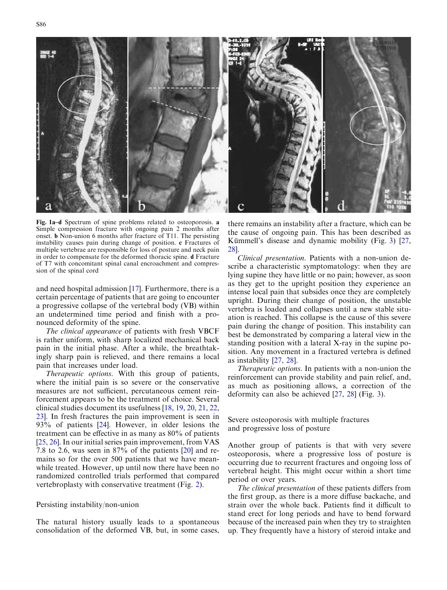<span id="page-1-0"></span>

Fig. 1a–d Spectrum of spine problems related to osteoporosis. a Simple compression fracture with ongoing pain 2 months after onset. b Non-union 6 months after fracture of T11. The persisting instability causes pain during change of position. c Fractures of multiple vertebrae are responsible for loss of posture and neck pain in order to compensate for the deformed thoracic spine. d Fracture of T7 with concomitant spinal canal encroachment and compression of the spinal cord

and need hospital admission [[17\]](#page-7-0). Furthermore, there is a certain percentage of patients that are going to encounter a progressive collapse of the vertebral body (VB) within an undetermined time period and finish with a pronounced deformity of the spine.

The clinical appearance of patients with fresh VBCF is rather uniform, with sharp localized mechanical back pain in the initial phase. After a while, the breathtakingly sharp pain is relieved, and there remains a local pain that increases under load.

Therapeutic options. With this group of patients, where the initial pain is so severe or the conservative measures are not sufficient, percutaneous cement reinforcement appears to be the treatment of choice. Several clinical studies document its usefulness [[18,](#page-7-0) [19,](#page-7-0) [20](#page-7-0), [21](#page-7-0), [22](#page-7-0), [23](#page-7-0)]. In fresh fractures the pain improvement is seen in 93% of patients [[24](#page-7-0)]. However, in older lesions the treatment can be effective in as many as 80% of patients [[25](#page-7-0), [26](#page-7-0)]. In our initial series pain improvement, from VAS 7.8 to 2.6, was seen in  $87\%$  of the patients [[20](#page-7-0)] and remains so for the over 500 patients that we have meanwhile treated. However, up until now there have been no randomized controlled trials performed that compared vertebroplasty with conservative treatment (Fig. [2\).](#page-2-0)

## Persisting instability/non-union

The natural history usually leads to a spontaneous consolidation of the deformed VB, but, in some cases, there remains an instability after a fracture, which can be the cause of ongoing pain. This has been described as Kümmell's disease and dynamic mobility (Fig. 3)  $[27, 12]$ [28](#page-7-0)].

Clinical presentation. Patients with a non-union describe a characteristic symptomatology: when they are lying supine they have little or no pain; however, as soon as they get to the upright position they experience an intense local pain that subsides once they are completely upright. During their change of position, the unstable vertebra is loaded and collapses until a new stable situation is reached. This collapse is the cause of this severe pain during the change of position. This instability can best be demonstrated by comparing a lateral view in the standing position with a lateral X-ray in the supine position. Any movement in a fractured vertebra is defined as instability [[27,](#page-7-0) [28](#page-7-0)].

Therapeutic options. In patients with a non-union the reinforcement can provide stability and pain relief, and, as much as positioning allows, a correction of the deformity can also be achieved [\[27](#page-7-0), [28\]](#page-7-0) (Fig. [3\).](#page-2-0)

Severe osteoporosis with multiple fractures and progressive loss of posture

Another group of patients is that with very severe osteoporosis, where a progressive loss of posture is occurring due to recurrent fractures and ongoing loss of vertebral height. This might occur within a short time period or over years.

The clinical presentation of these patients differs from the first group, as there is a more diffuse backache, and strain over the whole back. Patients find it difficult to stand erect for long periods and have to bend forward because of the increased pain when they try to straighten up. They frequently have a history of steroid intake and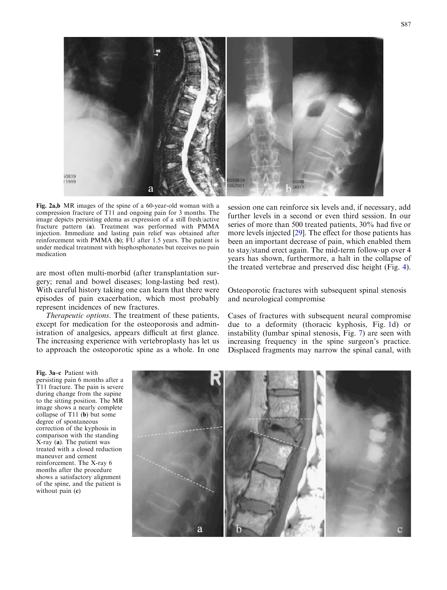<span id="page-2-0"></span>

compression fracture of T11 and ongoing pain for 3 months. The image depicts persisting edema as expression of a still fresh/active fracture pattern (a). Treatment was performed with PMMA injection. Immediate and lasting pain relief was obtained after reinforcement with PMMA (b); FU after 1.5 years. The patient is under medical treatment with bisphosphonates but receives no pain medication

are most often multi-morbid (after transplantation surgery; renal and bowel diseases; long-lasting bed rest). With careful history taking one can learn that there were episodes of pain exacerbation, which most probably represent incidences of new fractures.

Therapeutic options. The treatment of these patients, except for medication for the osteoporosis and administration of analgesics, appears difficult at first glance. The increasing experience with vertebroplasty has let us to approach the osteoporotic spine as a whole. In one session one can reinforce six levels and, if necessary, add further levels in a second or even third session. In our series of more than 500 treated patients, 30% had five or more levels injected [\[29\]](#page-7-0). The effect for those patients has been an important decrease of pain, which enabled them to stay/stand erect again. The mid-term follow-up over 4 years has shown, furthermore, a halt in the collapse of the treated vertebrae and preserved disc height (Fig. [4\).](#page-3-0)

Osteoporotic fractures with subsequent spinal stenosis and neurological compromise

Cases of fractures with subsequent neural compromise due to a deformity (thoracic kyphosis, Fig. [1d\) or](#page-1-0) [instability \(lumbar spinal stenosis, Fig.](#page-5-0) 7) are seen with [increasing frequency in the spine surgeon's practice.](#page-5-0) [Displaced fragments may narrow the spinal canal, with](#page-5-0)

Fig. 3a–c Patient with persisting pain 6 months after a T11 fracture. The pain is severe during change from the supine to the sitting position. The MR image shows a nearly complete collapse of T11 (b) but some degree of spontaneous correction of the kyphosis in comparison with the standing X-ray (a). The patient was treated with a closed reduction maneuver and cement reinforcement. The X-ray 6 months after the procedure shows a satisfactory alignment of the spine, and the patient is without pain (c)



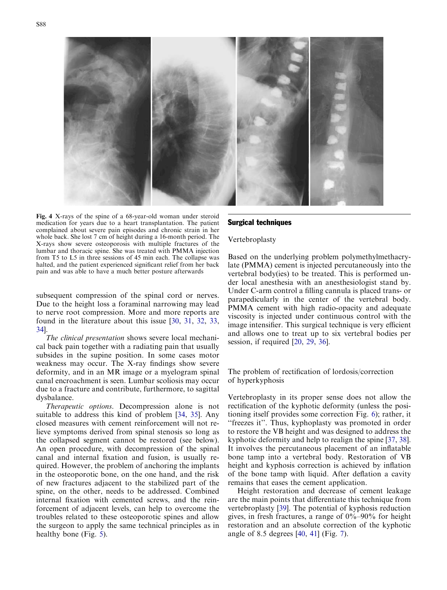<span id="page-3-0"></span>

Fig. 4 X-rays of the spine of a 68-year-old woman under steroid medication for years due to a heart transplantation. The patient complained about severe pain episodes and chronic strain in her whole back. She lost 7 cm of height during a 16-month period. The X-rays show severe osteoporosis with multiple fractures of the lumbar and thoracic spine. She was treated with PMMA injection from T5 to L5 in three sessions of 45 min each. The collapse was halted, and the patient experienced significant relief from her back pain and was able to have a much better posture afterwards

[subsequent compression of the spinal cord or nerves.](#page-5-0) [Due to the height loss a foraminal narrowing may lead](#page-5-0) [to nerve root compression. More and more reports are](#page-5-0) [found in the literature about this issue \[30](#page-7-0), [31](#page-7-0), [32](#page-7-0), [33](#page-7-0), [34](#page-7-0)].

The clinical presentation shows severe local mechanical back pain together with a radiating pain that usually subsides in the supine position. In some cases motor weakness may occur. The X-ray findings show severe deformity, and in an MR image or a myelogram spinal canal encroachment is seen. Lumbar scoliosis may occur due to a fracture and contribute, furthermore, to sagittal dysbalance.

Therapeutic options. Decompression alone is not suitable to address this kind of problem [\[34,](#page-7-0) [35\]](#page-7-0). Any closed measures with cement reinforcement will not relieve symptoms derived from spinal stenosis so long as the collapsed segment cannot be restored (see below). An open procedure, with decompression of the spinal canal and internal fixation and fusion, is usually required. However, the problem of anchoring the implants in the osteoporotic bone, on the one hand, and the risk of new fractures adjacent to the stabilized part of the spine, on the other, needs to be addressed. Combined internal fixation with cemented screws, and the reinforcement of adjacent levels, can help to overcome the troubles related to these osteoporotic spines and allow the surgeon to apply the same technical principles as in healthy bone (Fig. [5\).](#page-4-0)

## Surgical techniques

#### Vertebroplasty

Based on the underlying problem polymethylmethacrylate (PMMA) cement is injected percutaneously into the vertebral body(ies) to be treated. This is performed under local anesthesia with an anesthesiologist stand by. Under C-arm control a filling cannula is placed trans- or parapedicularly in the center of the vertebral body. PMMA cement with high radio-opacity and adequate viscosity is injected under continuous control with the image intensifier. This surgical technique is very efficient and allows one to treat up to six vertebral bodies per session, if required [\[20,](#page-7-0) [29,](#page-7-0) [36](#page-7-0)].

The problem of rectification of lordosis/correction of hyperkyphosis

Vertebroplasty in its proper sense does not allow the rectification of the kyphotic deformity (unless the positioning itself provides some correction Fig. [6\); rather, it](#page-4-0) "freezes it". Thus, kyphoplasty was promoted in order [to restore the VB height and was designed to address the](#page-4-0) [kyphotic deformity and help to realign the spine \[37](#page-7-0), [38\]](#page-7-0). It involves the percutaneous placement of an inflatable bone tamp into a vertebral body. Restoration of VB height and kyphosis correction is achieved by inflation of the bone tamp with liquid. After deflation a cavity remains that eases the cement application.

Height restoration and decrease of cement leakage are the main points that differentiate this technique from vertebroplasty [\[39\]](#page-7-0). The potential of kyphosis reduction gives, in fresh fractures, a range of  $0\% - 90\%$  for height restoration and an absolute correction of the kyphotic angle of 8.5 degrees [\[40](#page-7-0), [41\]](#page-7-0) (Fig. [7\).](#page-5-0)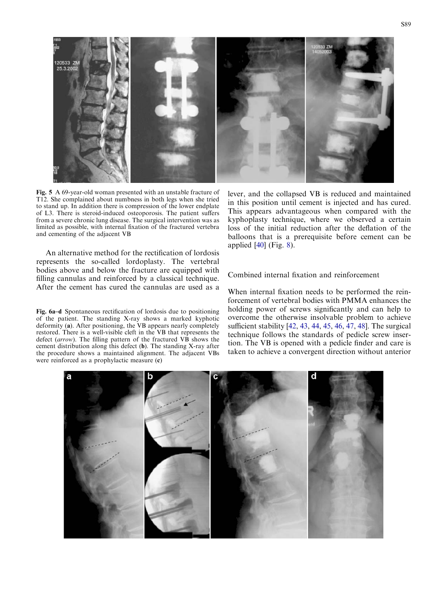<span id="page-4-0"></span>

Fig. 5 A 69-year-old woman presented with an unstable fracture of T12. She complained about numbness in both legs when she tried to stand up. In addition there is compression of the lower endplate of L3. There is steroid-induced osteoporosis. The patient suffers from a severe chronic lung disease. The surgical intervention was as limited as possible, with internal fixation of the fractured vertebra and cementing of the adjacent VB

An alternative method for the rectification of lordosis represents the so-called lordoplasty. The vertebral bodies above and below the fracture are equipped with filling cannulas and reinforced by a classical technique. After the cement has cured the cannulas are used as a

Fig. 6a–d Spontaneous rectification of lordosis due to positioning of the patient. The standing X-ray shows a marked kyphotic deformity (a). After positioning, the VB appears nearly completely restored. There is a well-visible cleft in the VB that represents the defect (arrow). The filling pattern of the fractured VB shows the cement distribution along this defect (b). The standing X-ray after the procedure shows a maintained alignment. The adjacent VBs were reinforced as a prophylactic measure (c)

lever, and the collapsed VB is reduced and maintained in this position until cement is injected and has cured. This appears advantageous when compared with the kyphoplasty technique, where we observed a certain loss of the initial reduction after the deflation of the balloons that is a prerequisite before cement can be applied [\[40](#page-7-0)] (Fig. [8\).](#page-5-0)

## Combined internal fixation and reinforcement

When internal fixation needs to be performed the reinforcement of vertebral bodies with PMMA enhances the holding power of screws significantly and can help to overcome the otherwise insolvable problem to achieve sufficient stability [\[42](#page-7-0), [43,](#page-7-0) [44,](#page-7-0) [45](#page-7-0), [46,](#page-7-0) [47](#page-7-0), [48](#page-7-0)]. The surgical technique follows the standards of pedicle screw insertion. The VB is opened with a pedicle finder and care is taken to achieve a convergent direction without anterior

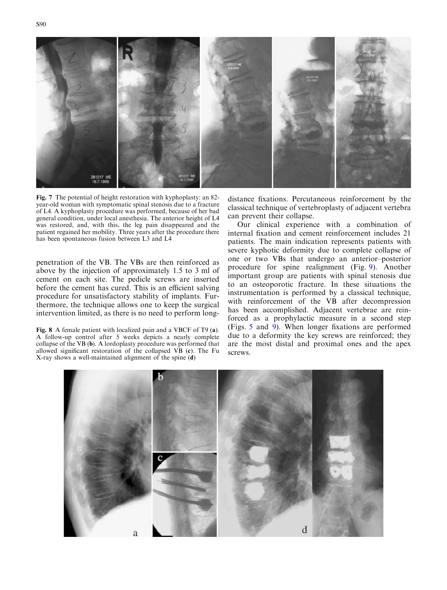<span id="page-5-0"></span>

Fig. 7 The potential of height restoration with kyphoplasty: an 82 year-old woman with symptomatic spinal stenosis due to a fracture of L4. A kyphoplasty procedure was performed, because of her bad general condition, under local anesthesia. The anterior height of L4 was restored, and, with this, the leg pain disappeared and the patient regained her mobility. Three years after the procedure there has been spontaneous fusion between L3 and L4

penetration of the VB. The VBs are then reinforced as above by the injection of approximately 1.5 to 3 ml of cement on each site. The pedicle screws are inserted before the cement has cured. This is an efficient salving procedure for unsatisfactory stability of implants. Furthermore, the technique allows one to keep the surgical intervention limited, as there is no need to perform long-

Fig. 8 A female patient with localized pain and a VBCF of T9 (a). A follow-up control after 5 weeks depicts a nearly complete collapse of the VB (b). A lordoplasty procedure was performed that allowed significant restoration of the collapsed VB (c). The Fu X-ray shows a well-maintained alignment of the spine (d)

distance fixations. Percutaneous reinforcement by the classical technique of vertebroplasty of adjacent vertebra can prevent their collapse.

Our clinical experience with a combination of internal fixation and cement reinforcement includes 21 patients. The main indication represents patients with severe kyphotic deformity due to complete collapse of one or two VBs that undergo an anterior–posterior procedure for spine realignment (Fig. [9\). Another](#page-6-0) [important group are patients with spinal stenosis due](#page-6-0) [to an osteoporotic fracture. In these situations the](#page-6-0) [instrumentation is performed by a classical technique,](#page-6-0) [with reinforcement of the VB after decompression](#page-6-0) [has been accomplished. Adjacent vertebrae are rein](#page-6-0)[forced as a prophylactic measure in a second step](#page-6-0) (Figs. 5 and [9\). When longer fixations are performed](#page-6-0) [due to a deformity the key screws are reinforced; they](#page-6-0) [are the most distal and proximal ones and the apex](#page-6-0) [screws.](#page-6-0)

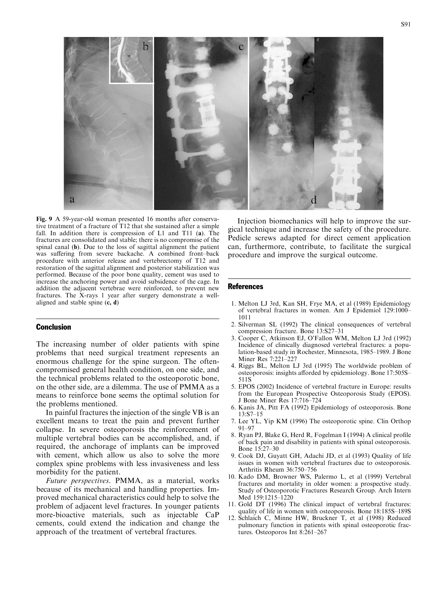<span id="page-6-0"></span>a

Fig. 9 A 59-year-old woman presented 16 months after conservative treatment of a fracture of T12 that she sustained after a simple fall. In addition there is compression of L1 and T11 (a). The fractures are consolidated and stable; there is no compromise of the spinal canal (b). Due to the loss of sagittal alignment the patient was suffering from severe backache. A combined front–back procedure with anterior release and vertebrectomy of T12 and restoration of the sagittal alignment and posterior stabilization was performed. Because of the poor bone quality, cement was used to increase the anchoring power and avoid subsidence of the cage. In addition the adjacent vertebrae were reinforced, to prevent new fractures. The X-rays 1 year after surgery demonstrate a wellaligned and stable spine  $(c, d)$ 

# **Conclusion**

The increasing number of older patients with spine problems that need surgical treatment represents an enormous challenge for the spine surgeon. The oftencompromised general health condition, on one side, and the technical problems related to the osteoporotic bone, on the other side, are a dilemma. The use of PMMA as a means to reinforce bone seems the optimal solution for the problems mentioned.

In painful fractures the injection of the single VB is an excellent means to treat the pain and prevent further collapse. In severe osteoporosis the reinforcement of multiple vertebral bodies can be accomplished, and, if required, the anchorage of implants can be improved with cement, which allow us also to solve the more complex spine problems with less invasiveness and less morbidity for the patient.

Future perspectives. PMMA, as a material, works because of its mechanical and handling properties. Improved mechanical characteristics could help to solve the problem of adjacent level fractures. In younger patients more-bioactive materials, such as injectable CaP cements, could extend the indication and change the approach of the treatment of vertebral fractures.

Injection biomechanics will help to improve the surgical technique and increase the safety of the procedure. Pedicle screws adapted for direct cement application can, furthermore, contribute, to facilitate the surgical procedure and improve the surgical outcome.

#### References

- 1. Melton LJ 3rd, Kan SH, Frye MA, et al (1989) Epidemiology of vertebral fractures in women. Am J Epidemiol 129:1000– 1011
- 2. Silverman SL (1992) The clinical consequences of vertebral compression fracture. Bone 13:S27–31
- 3. Cooper C, Atkinson EJ, O'Fallon WM, Melton LJ 3rd (1992) Incidence of clinically diagnosed vertebral fractures: a population-based study in Rochester, Minnesota, 1985–1989. J Bone Miner Res 7:221–227
- 4. Riggs BL, Melton LJ 3rd (1995) The worldwide problem of osteoporosis: insights afforded by epidemiology. Bone 17:505S– 511S
- 5. EPOS (2002) Incidence of vertebral fracture in Europe: results from the European Prospective Osteoporosis Study (EPOS). J Bone Miner Res 17:716–724
- 6. Kanis JA, Pitt FA (1992) Epidemiology of osteoporosis. Bone 13:S7–15
- 7. Lee YL, Yip KM (1996) The osteoporotic spine. Clin Orthop 91–97
- 8. Ryan PJ, Blake G, Herd R, Fogelman I (1994) A clinical profile of back pain and disability in patients with spinal osteoporosis. Bone 15:27–30
- 9. Cook DJ, Guyatt GH, Adachi JD, et al (1993) Quality of life issues in women with vertebral fractures due to osteoporosis. Arthritis Rheum 36:750–756
- 10. Kado DM, Browner WS, Palermo L, et al (1999) Vertebral fractures and mortality in older women: a prospective study. Study of Osteoporotic Fractures Research Group. Arch Intern Med 159:1215–1220
- 11. Gold DT (1996) The clinical impact of vertebral fractures: quality of life in women with osteoporosis. Bone 18:185S–189S
- 12. Schlaich C, Minne HW, Bruckner T, et al (1998) Reduced pulmonary function in patients with spinal osteoporotic fractures. Osteoporos Int 8:261–267